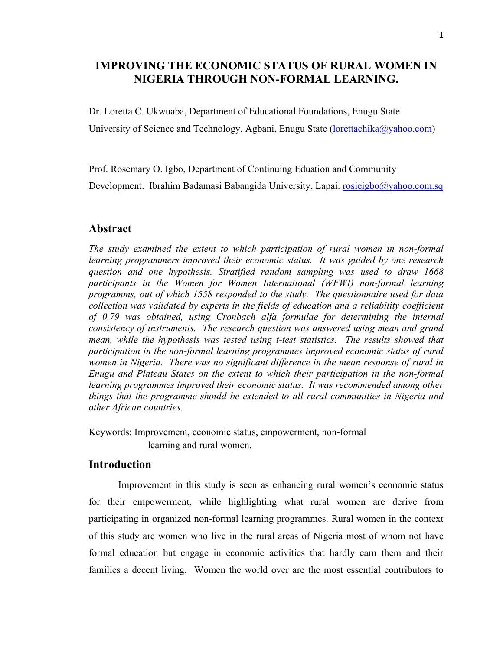# **IMPROVING THE ECONOMIC STATUS OF RURAL WOMEN IN NIGERIA THROUGH NON-FORMAL LEARNING.**

Dr. Loretta C. Ukwuaba, Department of Educational Foundations, Enugu State University of Science and Technology, Agbani, Enugu State (*lorettachika@yahoo.com*)

Prof. Rosemary O. Igbo, Department of Continuing Eduation and Community Development. Ibrahim Badamasi Babangida University, Lapai. rosieigbo@yahoo.com.sq

## **Abstract**

*The study examined the extent to which participation of rural women in non-formal learning programmers improved their economic status. It was guided by one research question and one hypothesis. Stratified random sampling was used to draw 1668 participants in the Women for Women International (WFWI) non-formal learning programms, out of which 1558 responded to the study. The questionnaire used for data collection was validated by experts in the fields of education and a reliability coefficient of 0.79 was obtained, using Cronbach alfa formulae for determining the internal consistency of instruments. The research question was answered using mean and grand mean, while the hypothesis was tested using t-test statistics. The results showed that participation in the non-formal learning programmes improved economic status of rural women in Nigeria. There was no significant difference in the mean response of rural in Enugu and Plateau States on the extent to which their participation in the non-formal*  learning programmes improved their economic status. It was recommended among other *things that the programme should be extended to all rural communities in Nigeria and other African countries.*

Keywords: Improvement, economic status, empowerment, non-formal learning and rural women.

## **Introduction**

Improvement in this study is seen as enhancing rural women's economic status for their empowerment, while highlighting what rural women are derive from participating in organized non-formal learning programmes. Rural women in the context of this study are women who live in the rural areas of Nigeria most of whom not have formal education but engage in economic activities that hardly earn them and their families a decent living. Women the world over are the most essential contributors to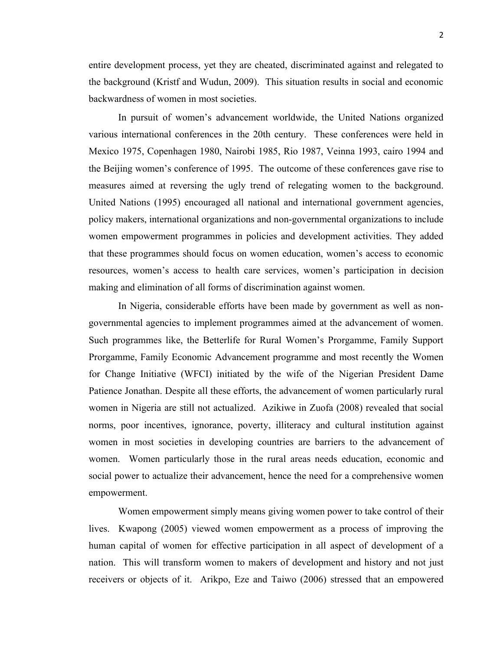entire development process, yet they are cheated, discriminated against and relegated to the background (Kristf and Wudun, 2009). This situation results in social and economic backwardness of women in most societies.

In pursuit of women's advancement worldwide, the United Nations organized various international conferences in the 20th century. These conferences were held in Mexico 1975, Copenhagen 1980, Nairobi 1985, Rio 1987, Veinna 1993, cairo 1994 and the Beijing women's conference of 1995. The outcome of these conferences gave rise to measures aimed at reversing the ugly trend of relegating women to the background. United Nations (1995) encouraged all national and international government agencies, policy makers, international organizations and non-governmental organizations to include women empowerment programmes in policies and development activities. They added that these programmes should focus on women education, women's access to economic resources, women's access to health care services, women's participation in decision making and elimination of all forms of discrimination against women.

In Nigeria, considerable efforts have been made by government as well as nongovernmental agencies to implement programmes aimed at the advancement of women. Such programmes like, the Betterlife for Rural Women's Prorgamme, Family Support Prorgamme, Family Economic Advancement programme and most recently the Women for Change Initiative (WFCI) initiated by the wife of the Nigerian President Dame Patience Jonathan. Despite all these efforts, the advancement of women particularly rural women in Nigeria are still not actualized. Azikiwe in Zuofa (2008) revealed that social norms, poor incentives, ignorance, poverty, illiteracy and cultural institution against women in most societies in developing countries are barriers to the advancement of women. Women particularly those in the rural areas needs education, economic and social power to actualize their advancement, hence the need for a comprehensive women empowerment.

Women empowerment simply means giving women power to take control of their lives. Kwapong (2005) viewed women empowerment as a process of improving the human capital of women for effective participation in all aspect of development of a nation. This will transform women to makers of development and history and not just receivers or objects of it. Arikpo, Eze and Taiwo (2006) stressed that an empowered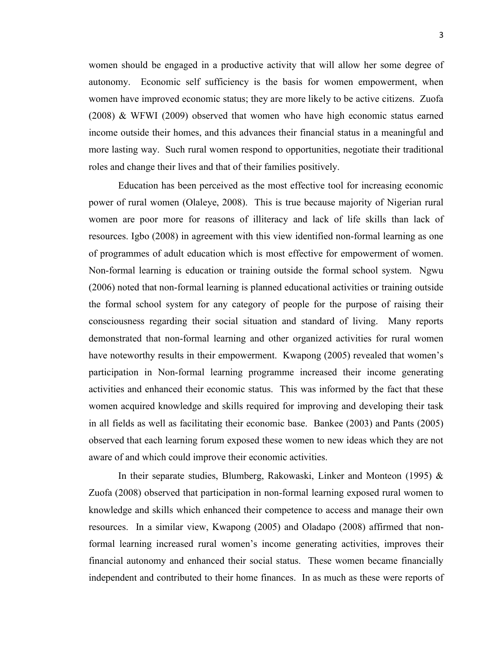women should be engaged in a productive activity that will allow her some degree of autonomy. Economic self sufficiency is the basis for women empowerment, when women have improved economic status; they are more likely to be active citizens. Zuofa (2008) & WFWI (2009) observed that women who have high economic status earned income outside their homes, and this advances their financial status in a meaningful and more lasting way. Such rural women respond to opportunities, negotiate their traditional roles and change their lives and that of their families positively.

Education has been perceived as the most effective tool for increasing economic power of rural women (Olaleye, 2008). This is true because majority of Nigerian rural women are poor more for reasons of illiteracy and lack of life skills than lack of resources. Igbo (2008) in agreement with this view identified non-formal learning as one of programmes of adult education which is most effective for empowerment of women. Non-formal learning is education or training outside the formal school system. Ngwu (2006) noted that non-formal learning is planned educational activities or training outside the formal school system for any category of people for the purpose of raising their consciousness regarding their social situation and standard of living. Many reports demonstrated that non-formal learning and other organized activities for rural women have noteworthy results in their empowerment. Kwapong (2005) revealed that women's participation in Non-formal learning programme increased their income generating activities and enhanced their economic status. This was informed by the fact that these women acquired knowledge and skills required for improving and developing their task in all fields as well as facilitating their economic base. Bankee (2003) and Pants (2005) observed that each learning forum exposed these women to new ideas which they are not aware of and which could improve their economic activities.

In their separate studies, Blumberg, Rakowaski, Linker and Monteon (1995) & Zuofa (2008) observed that participation in non-formal learning exposed rural women to knowledge and skills which enhanced their competence to access and manage their own resources. In a similar view, Kwapong (2005) and Oladapo (2008) affirmed that nonformal learning increased rural women's income generating activities, improves their financial autonomy and enhanced their social status. These women became financially independent and contributed to their home finances. In as much as these were reports of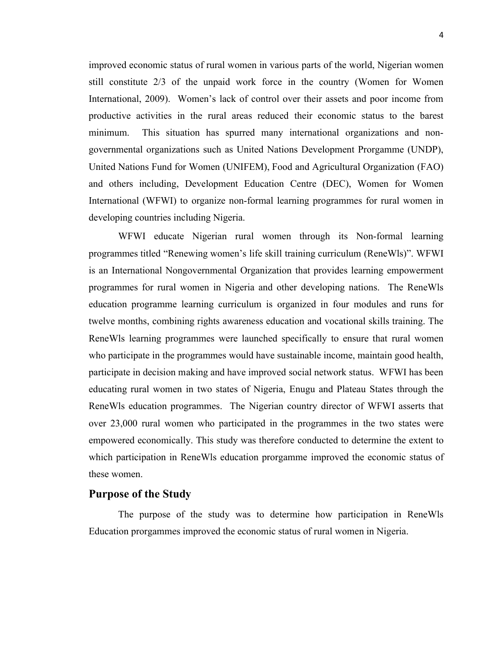improved economic status of rural women in various parts of the world, Nigerian women still constitute 2/3 of the unpaid work force in the country (Women for Women International, 2009). Women's lack of control over their assets and poor income from productive activities in the rural areas reduced their economic status to the barest minimum. This situation has spurred many international organizations and nongovernmental organizations such as United Nations Development Prorgamme (UNDP), United Nations Fund for Women (UNIFEM), Food and Agricultural Organization (FAO) and others including, Development Education Centre (DEC), Women for Women International (WFWI) to organize non-formal learning programmes for rural women in developing countries including Nigeria.

WFWI educate Nigerian rural women through its Non-formal learning programmes titled "Renewing women's life skill training curriculum (ReneWls)". WFWI is an International Nongovernmental Organization that provides learning empowerment programmes for rural women in Nigeria and other developing nations. The ReneWls education programme learning curriculum is organized in four modules and runs for twelve months, combining rights awareness education and vocational skills training. The ReneWls learning programmes were launched specifically to ensure that rural women who participate in the programmes would have sustainable income, maintain good health, participate in decision making and have improved social network status. WFWI has been educating rural women in two states of Nigeria, Enugu and Plateau States through the ReneWls education programmes. The Nigerian country director of WFWI asserts that over 23,000 rural women who participated in the programmes in the two states were empowered economically. This study was therefore conducted to determine the extent to which participation in ReneWls education prorgamme improved the economic status of these women.

## **Purpose of the Study**

The purpose of the study was to determine how participation in ReneWls Education prorgammes improved the economic status of rural women in Nigeria.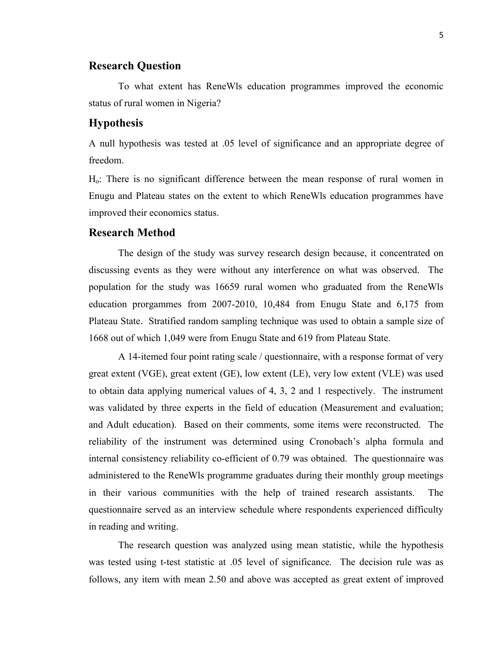## **Research Question**

To what extent has ReneWls education programmes improved the economic status of rural women in Nigeria?

## **Hypothesis**

A null hypothesis was tested at .05 level of significance and an appropriate degree of freedom.

Ho: There is no significant difference between the mean response of rural women in Enugu and Plateau states on the extent to which ReneWls education programmes have improved their economics status.

### **Research Method**

The design of the study was survey research design because, it concentrated on discussing events as they were without any interference on what was observed. The population for the study was 16659 rural women who graduated from the ReneWls education prorgammes from 2007-2010, 10,484 from Enugu State and 6,175 from Plateau State. Stratified random sampling technique was used to obtain a sample size of 1668 out of which 1,049 were from Enugu State and 619 from Plateau State.

A 14-itemed four point rating scale / questionnaire, with a response format of very great extent (VGE), great extent (GE), low extent (LE), very low extent (VLE) was used to obtain data applying numerical values of 4, 3, 2 and 1 respectively. The instrument was validated by three experts in the field of education (Measurement and evaluation; and Adult education). Based on their comments, some items were reconstructed. The reliability of the instrument was determined using Cronobach's alpha formula and internal consistency reliability co-efficient of 0.79 was obtained. The questionnaire was administered to the ReneWls programme graduates during their monthly group meetings in their various communities with the help of trained research assistants. The questionnaire served as an interview schedule where respondents experienced difficulty in reading and writing.

The research question was analyzed using mean statistic, while the hypothesis was tested using t-test statistic at .05 level of significance. The decision rule was as follows, any item with mean 2.50 and above was accepted as great extent of improved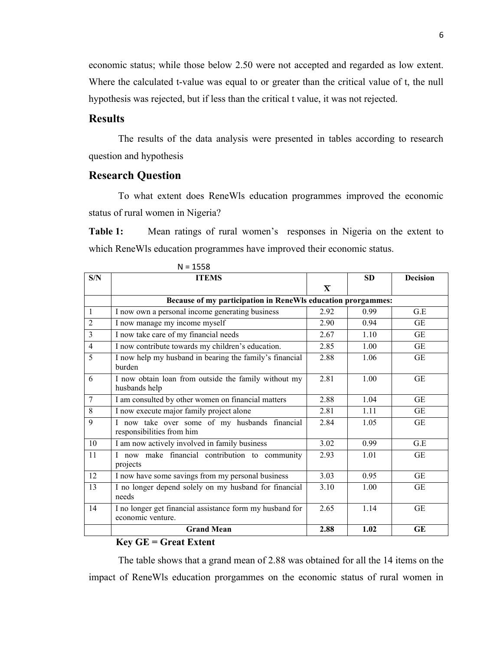economic status; while those below 2.50 were not accepted and regarded as low extent. Where the calculated t-value was equal to or greater than the critical value of t, the null hypothesis was rejected, but if less than the critical t value, it was not rejected.

## **Results**

The results of the data analysis were presented in tables according to research question and hypothesis

## **Research Question**

To what extent does ReneWls education programmes improved the economic status of rural women in Nigeria?

**Table 1:** Mean ratings of rural women's responses in Nigeria on the extent to which ReneWls education programmes have improved their economic status.

| S/N            | <b>ITEMS</b>                                                                  |                         | <b>SD</b> | <b>Decision</b> |  |  |  |  |  |
|----------------|-------------------------------------------------------------------------------|-------------------------|-----------|-----------------|--|--|--|--|--|
|                |                                                                               | $\overline{\mathbf{X}}$ |           |                 |  |  |  |  |  |
|                | Because of my participation in ReneWls education prorgammes:                  |                         |           |                 |  |  |  |  |  |
| $\mathbf{1}$   | I now own a personal income generating business                               | 2.92                    | 0.99      | G.E             |  |  |  |  |  |
| $\overline{2}$ | I now manage my income myself                                                 | 2.90                    | 0.94      | <b>GE</b>       |  |  |  |  |  |
| $\overline{3}$ | I now take care of my financial needs                                         | 2.67                    | 1.10      | GE              |  |  |  |  |  |
| $\overline{4}$ | I now contribute towards my children's education.                             | 2.85                    | 1.00      | GE              |  |  |  |  |  |
| 5              | I now help my husband in bearing the family's financial<br>burden             | 2.88                    | 1.06      | <b>GE</b>       |  |  |  |  |  |
| 6              | I now obtain loan from outside the family without my<br>husbands help         | 2.81                    | 1.00      | <b>GE</b>       |  |  |  |  |  |
| $\overline{7}$ | I am consulted by other women on financial matters                            | 2.88                    | 1.04      | <b>GE</b>       |  |  |  |  |  |
| 8              | I now execute major family project alone                                      | 2.81                    | 1.11      | GE              |  |  |  |  |  |
| 9              | I now take over some of my husbands financial<br>responsibilities from him    | 2.84                    | 1.05      | GE              |  |  |  |  |  |
| 10             | I am now actively involved in family business                                 | 3.02                    | 0.99      | G.E             |  |  |  |  |  |
| 11             | I now make financial contribution to community<br>projects                    | 2.93                    | 1.01      | <b>GE</b>       |  |  |  |  |  |
| 12             | I now have some savings from my personal business                             | 3.03                    | 0.95      | <b>GE</b>       |  |  |  |  |  |
| 13             | I no longer depend solely on my husband for financial<br>needs                | 3.10                    | 1.00      | GE              |  |  |  |  |  |
| 14             | I no longer get financial assistance form my husband for<br>economic venture. | 2.65                    | 1.14      | <b>GE</b>       |  |  |  |  |  |
|                | <b>Grand Mean</b>                                                             | 2.88                    | 1.02      | GE              |  |  |  |  |  |

 $N = 1558$ 

#### **Key GE = Great Extent**

The table shows that a grand mean of 2.88 was obtained for all the 14 items on the impact of ReneWls education prorgammes on the economic status of rural women in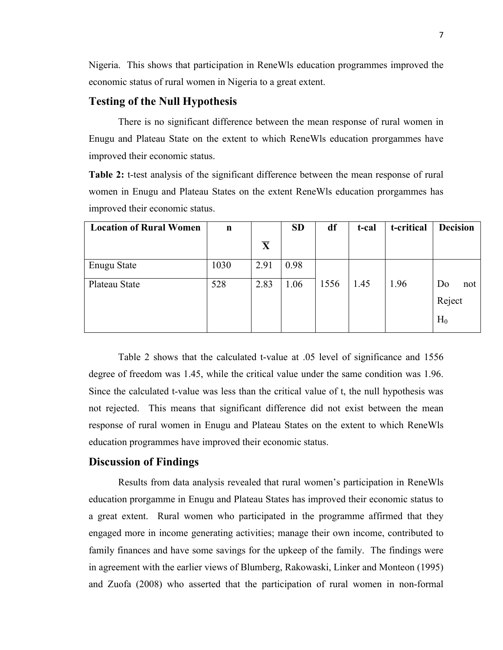Nigeria. This shows that participation in ReneWls education programmes improved the economic status of rural women in Nigeria to a great extent.

## **Testing of the Null Hypothesis**

There is no significant difference between the mean response of rural women in Enugu and Plateau State on the extent to which ReneWls education prorgammes have improved their economic status.

**Table 2:** t-test analysis of the significant difference between the mean response of rural women in Enugu and Plateau States on the extent ReneWls education prorgammes has improved their economic status.

| <b>Location of Rural Women</b> | $\mathbf n$ |                         | <b>SD</b> | df   | t-cal | t-critical | <b>Decision</b>     |
|--------------------------------|-------------|-------------------------|-----------|------|-------|------------|---------------------|
|                                |             | $\overline{\mathbf{X}}$ |           |      |       |            |                     |
| Enugu State                    | 1030        | 2.91                    | 0.98      |      |       |            |                     |
| Plateau State                  | 528         | 2.83                    | 1.06      | 1556 | 1.45  | 1.96       | Do<br>not<br>Reject |
|                                |             |                         |           |      |       |            | $H_0$               |

Table 2 shows that the calculated t-value at .05 level of significance and 1556 degree of freedom was 1.45, while the critical value under the same condition was 1.96. Since the calculated t-value was less than the critical value of t, the null hypothesis was not rejected. This means that significant difference did not exist between the mean response of rural women in Enugu and Plateau States on the extent to which ReneWls education programmes have improved their economic status.

## **Discussion of Findings**

Results from data analysis revealed that rural women's participation in ReneWls education prorgamme in Enugu and Plateau States has improved their economic status to a great extent. Rural women who participated in the programme affirmed that they engaged more in income generating activities; manage their own income, contributed to family finances and have some savings for the upkeep of the family. The findings were in agreement with the earlier views of Blumberg, Rakowaski, Linker and Monteon (1995) and Zuofa (2008) who asserted that the participation of rural women in non-formal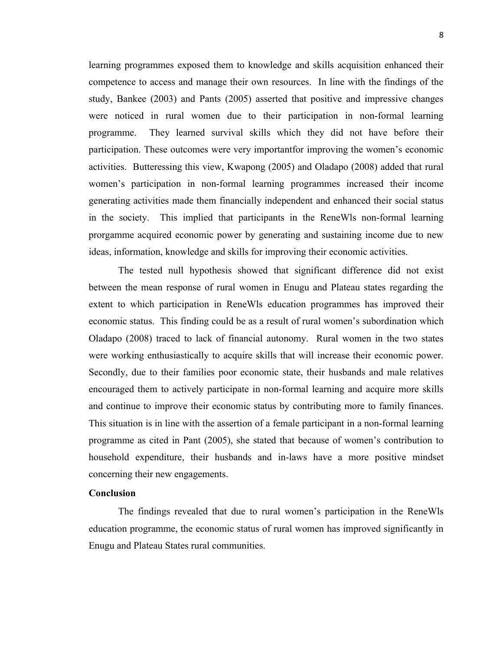learning programmes exposed them to knowledge and skills acquisition enhanced their competence to access and manage their own resources. In line with the findings of the study, Bankee (2003) and Pants (2005) asserted that positive and impressive changes were noticed in rural women due to their participation in non-formal learning programme. They learned survival skills which they did not have before their participation. These outcomes were very importantfor improving the women's economic activities. Butteressing this view, Kwapong (2005) and Oladapo (2008) added that rural women's participation in non-formal learning programmes increased their income generating activities made them financially independent and enhanced their social status in the society. This implied that participants in the ReneWls non-formal learning prorgamme acquired economic power by generating and sustaining income due to new ideas, information, knowledge and skills for improving their economic activities.

The tested null hypothesis showed that significant difference did not exist between the mean response of rural women in Enugu and Plateau states regarding the extent to which participation in ReneWls education programmes has improved their economic status. This finding could be as a result of rural women's subordination which Oladapo (2008) traced to lack of financial autonomy. Rural women in the two states were working enthusiastically to acquire skills that will increase their economic power. Secondly, due to their families poor economic state, their husbands and male relatives encouraged them to actively participate in non-formal learning and acquire more skills and continue to improve their economic status by contributing more to family finances. This situation is in line with the assertion of a female participant in a non-formal learning programme as cited in Pant (2005), she stated that because of women's contribution to household expenditure, their husbands and in-laws have a more positive mindset concerning their new engagements.

### **Conclusion**

The findings revealed that due to rural women's participation in the ReneWls education programme, the economic status of rural women has improved significantly in Enugu and Plateau States rural communities.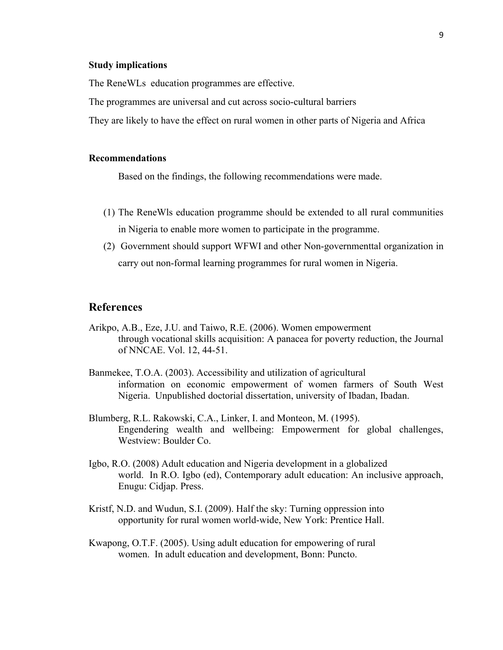#### **Study implications**

The ReneWLs education programmes are effective.

The programmes are universal and cut across socio-cultural barriers

They are likely to have the effect on rural women in other parts of Nigeria and Africa

#### **Recommendations**

Based on the findings, the following recommendations were made.

- (1) The ReneWls education programme should be extended to all rural communities in Nigeria to enable more women to participate in the programme.
- (2) Government should support WFWI and other Non-governmenttal organization in carry out non-formal learning programmes for rural women in Nigeria.

## **References**

- Arikpo, A.B., Eze, J.U. and Taiwo, R.E. (2006). Women empowerment through vocational skills acquisition: A panacea for poverty reduction, the Journal of NNCAE. Vol. 12, 44-51.
- Banmekee, T.O.A. (2003). Accessibility and utilization of agricultural information on economic empowerment of women farmers of South West Nigeria. Unpublished doctorial dissertation, university of Ibadan, Ibadan.
- Blumberg, R.L. Rakowski, C.A., Linker, I. and Monteon, M. (1995). Engendering wealth and wellbeing: Empowerment for global challenges, Westview: Boulder Co.
- Igbo, R.O. (2008) Adult education and Nigeria development in a globalized world. In R.O. Igbo (ed), Contemporary adult education: An inclusive approach, Enugu: Cidjap. Press.
- Kristf, N.D. and Wudun, S.I. (2009). Half the sky: Turning oppression into opportunity for rural women world-wide, New York: Prentice Hall.
- Kwapong, O.T.F. (2005). Using adult education for empowering of rural women. In adult education and development, Bonn: Puncto.